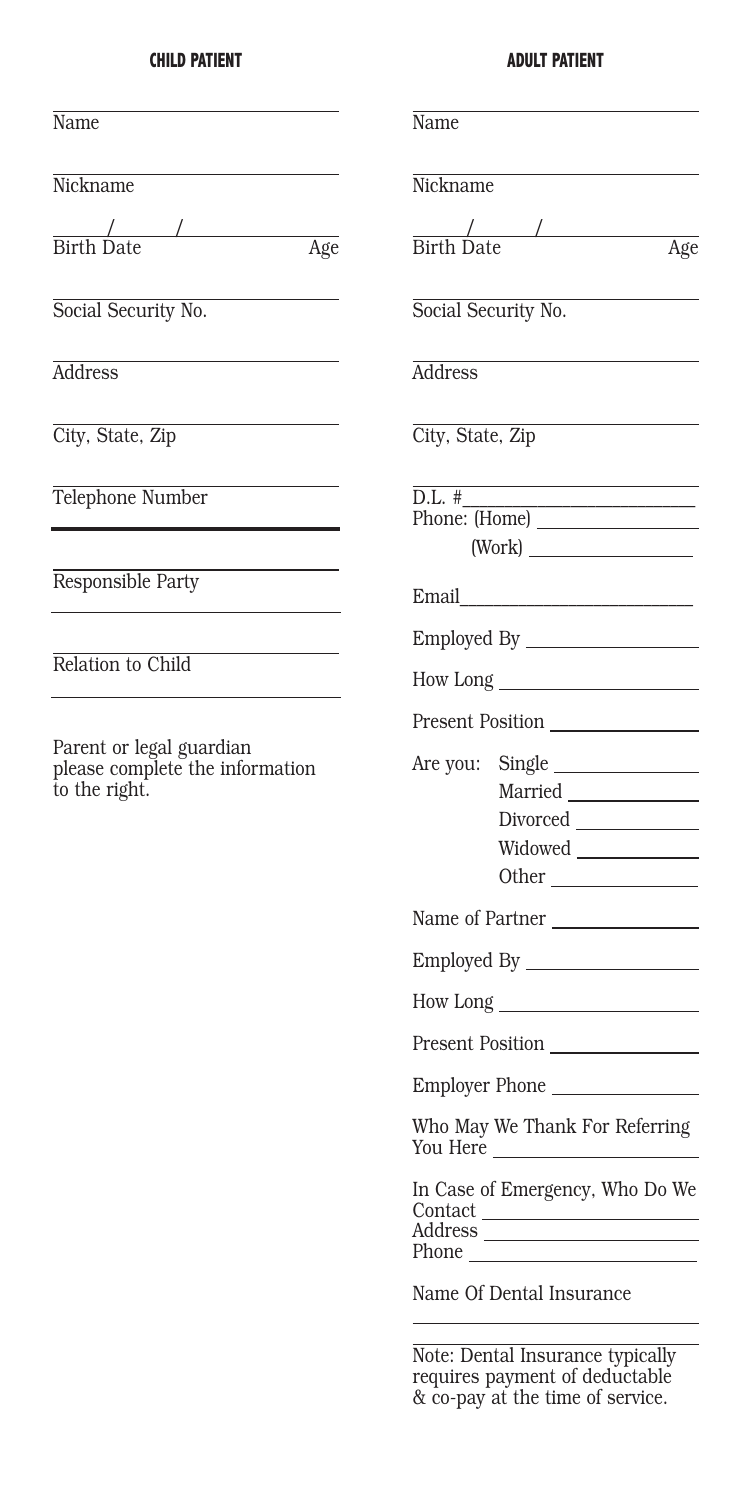## **CHILD PATIENT**

## **ADULT PATIENT**

| Name                                                                                              | Name                                                                                                   |
|---------------------------------------------------------------------------------------------------|--------------------------------------------------------------------------------------------------------|
| Nickname                                                                                          | Nickname                                                                                               |
| $\frac{1}{\text{Birth Date}}$<br>$\overline{\rm Age}$                                             | $\frac{1}{\text{Birth Date}}$<br>Age                                                                   |
| Social Security No.                                                                               | Social Security No.                                                                                    |
| <b>Address</b>                                                                                    | <b>Address</b>                                                                                         |
| City, State, Zip                                                                                  | City, State, Zip                                                                                       |
| Telephone Number                                                                                  | the control of the control of the control of the control of<br>$D.L.$ #                                |
| Responsible Party                                                                                 |                                                                                                        |
|                                                                                                   |                                                                                                        |
| Relation to Child<br>Parent or legal guardian<br>please complete the information<br>to the right. |                                                                                                        |
|                                                                                                   | Present Position                                                                                       |
|                                                                                                   | Are you:<br>Widowed<br>Other                                                                           |
|                                                                                                   | Name of Partner                                                                                        |
|                                                                                                   |                                                                                                        |
|                                                                                                   | How Long                                                                                               |
|                                                                                                   | Present Position                                                                                       |
|                                                                                                   | Employer Phone                                                                                         |
|                                                                                                   | Who May We Thank For Referring                                                                         |
|                                                                                                   | In Case of Emergency, Who Do We<br>Phone                                                               |
|                                                                                                   | Name Of Dental Insurance                                                                               |
|                                                                                                   | Note: Dental Insurance typically<br>requires payment of deductable<br>& co-pay at the time of service. |